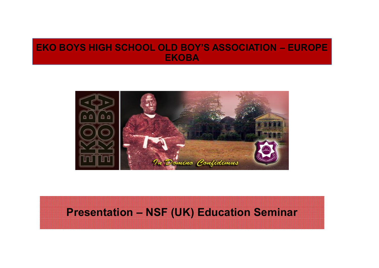### **EKO BOYS HIGH SCHOOL OLD BOY'S ASSOCIATION – EUROPE EKOBA**



### **Presentation – NSF (UK) Education Seminar**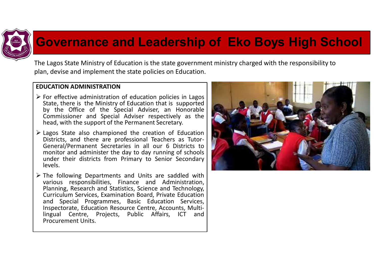

## **Governance and Leadership of Eko Boys High School**

The Lagos State Ministry of Education is the state government ministry charged with the responsibility to plan, devise and implement the state policies on Education.

#### **EDUCATION ADMINISTRATION**

- $\triangleright$  For effective administration of education policies in Lagos State, there is the Ministry of Education that is supported by the Office of the Special Adviser, an Honorable Commissioner and Special Adviser respectively as the head, with the support of the Permanent Secretary.
- ÿ Lagos State also championed the creation of Education General/Permanent Secretaries in all our 6 Districts to monitor and administer the day to day running of schools under their districts from Primary to Senior Secondary levels.
- $\triangleright$  The following Departments and Units are saddled with various responsibilities, Finance and Administration, Planning, Research and Statistics, Science and Technology, Curriculum Services, Examination Board, Private Education and Special Programmes, Basic Education Services, lingual Centre, Projects, Public Affairs, ICT and Procurement Units.

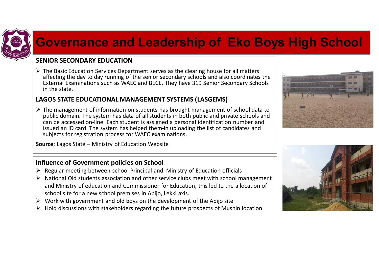

# **Governance and Leadership of Eko Boys High School**

#### **SENIOR SECONDARY EDUCATION**

 $\triangleright$  The Basic Education Services Department serves as the clearing house for all matters affecting the day to day running of the senior secondary schools and also coordinates the External Examinations such as WAEC and BECE. They have 319 Senior Secondary Schools in the state.

#### **LAGOS STATE EDUCATIONAL MANAGEMENT SYSTEMS (LASGEMS)**

 $\triangleright$  The management of information on students has brought management of school data to public domain. The system has data of all students in both public and private schools and can be accessed on-line. Each student is assigned a personal identification number and issued an ID card. The system has helped them in uploading the list of candidates and subjects for registration process for WAEC examinations.

**Source**; Lagos State – Ministry of Education Website

#### **Influence of Government policies on School**

- $\triangleright$  Regular meeting between school Principal and Ministry of Education officials
- $\triangleright$  National Old students association and other service clubs meet with school management and Ministry of education and Commissioner for Education, this led to the allocation of school site for a new school premises in Abijo, Lekki axis.
- $\triangleright$  Work with government and old boys on the development of the Abijo site
- $\triangleright$  Hold discussions with stakeholders regarding the future prospects of Mushin location